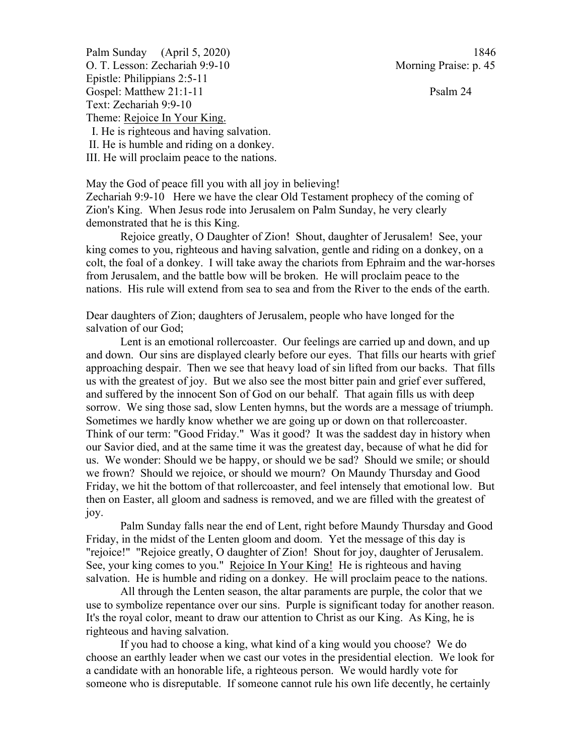Palm Sunday (April 5, 2020) 1846 O. T. Lesson: Zechariah 9:9-10 Morning Praise: p. 45 Epistle: Philippians 2:5-11 Gospel: Matthew 21:1-11 Psalm 24 Text: Zechariah 9:9-10 Theme: Rejoice In Your King. I. He is righteous and having salvation. II. He is humble and riding on a donkey. III. He will proclaim peace to the nations.

May the God of peace fill you with all joy in believing!

Zechariah 9:9-10 Here we have the clear Old Testament prophecy of the coming of Zion's King. When Jesus rode into Jerusalem on Palm Sunday, he very clearly demonstrated that he is this King.

Rejoice greatly, O Daughter of Zion! Shout, daughter of Jerusalem! See, your king comes to you, righteous and having salvation, gentle and riding on a donkey, on a colt, the foal of a donkey. I will take away the chariots from Ephraim and the war-horses from Jerusalem, and the battle bow will be broken. He will proclaim peace to the nations. His rule will extend from sea to sea and from the River to the ends of the earth.

Dear daughters of Zion; daughters of Jerusalem, people who have longed for the salvation of our God;

Lent is an emotional rollercoaster. Our feelings are carried up and down, and up and down. Our sins are displayed clearly before our eyes. That fills our hearts with grief approaching despair. Then we see that heavy load of sin lifted from our backs. That fills us with the greatest of joy. But we also see the most bitter pain and grief ever suffered, and suffered by the innocent Son of God on our behalf. That again fills us with deep sorrow. We sing those sad, slow Lenten hymns, but the words are a message of triumph. Sometimes we hardly know whether we are going up or down on that rollercoaster. Think of our term: "Good Friday." Was it good? It was the saddest day in history when our Savior died, and at the same time it was the greatest day, because of what he did for us. We wonder: Should we be happy, or should we be sad? Should we smile; or should we frown? Should we rejoice, or should we mourn? On Maundy Thursday and Good Friday, we hit the bottom of that rollercoaster, and feel intensely that emotional low. But then on Easter, all gloom and sadness is removed, and we are filled with the greatest of joy.

Palm Sunday falls near the end of Lent, right before Maundy Thursday and Good Friday, in the midst of the Lenten gloom and doom. Yet the message of this day is "rejoice!" "Rejoice greatly, O daughter of Zion! Shout for joy, daughter of Jerusalem. See, your king comes to you." Rejoice In Your King! He is righteous and having salvation. He is humble and riding on a donkey. He will proclaim peace to the nations.

All through the Lenten season, the altar paraments are purple, the color that we use to symbolize repentance over our sins. Purple is significant today for another reason. It's the royal color, meant to draw our attention to Christ as our King. As King, he is righteous and having salvation.

If you had to choose a king, what kind of a king would you choose? We do choose an earthly leader when we cast our votes in the presidential election. We look for a candidate with an honorable life, a righteous person. We would hardly vote for someone who is disreputable. If someone cannot rule his own life decently, he certainly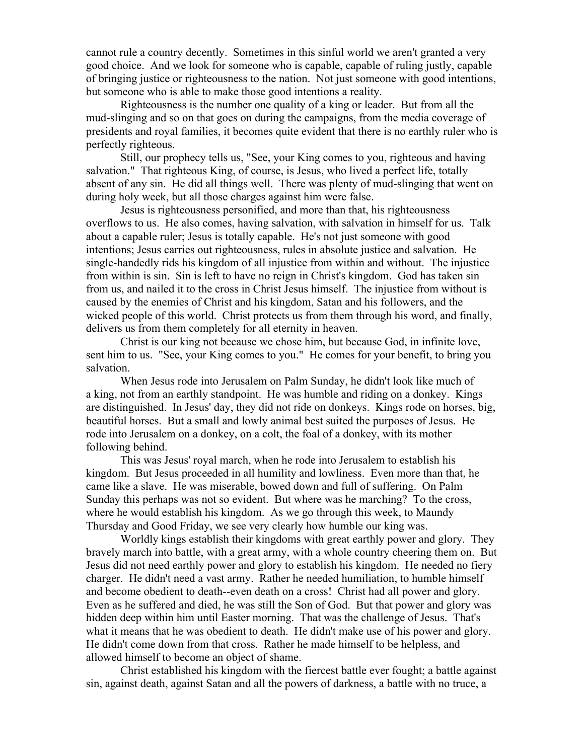cannot rule a country decently. Sometimes in this sinful world we aren't granted a very good choice. And we look for someone who is capable, capable of ruling justly, capable of bringing justice or righteousness to the nation. Not just someone with good intentions, but someone who is able to make those good intentions a reality.

Righteousness is the number one quality of a king or leader. But from all the mud-slinging and so on that goes on during the campaigns, from the media coverage of presidents and royal families, it becomes quite evident that there is no earthly ruler who is perfectly righteous.

Still, our prophecy tells us, "See, your King comes to you, righteous and having salvation." That righteous King, of course, is Jesus, who lived a perfect life, totally absent of any sin. He did all things well. There was plenty of mud-slinging that went on during holy week, but all those charges against him were false.

Jesus is righteousness personified, and more than that, his righteousness overflows to us. He also comes, having salvation, with salvation in himself for us. Talk about a capable ruler; Jesus is totally capable. He's not just someone with good intentions; Jesus carries out righteousness, rules in absolute justice and salvation. He single-handedly rids his kingdom of all injustice from within and without. The injustice from within is sin. Sin is left to have no reign in Christ's kingdom. God has taken sin from us, and nailed it to the cross in Christ Jesus himself. The injustice from without is caused by the enemies of Christ and his kingdom, Satan and his followers, and the wicked people of this world. Christ protects us from them through his word, and finally, delivers us from them completely for all eternity in heaven.

Christ is our king not because we chose him, but because God, in infinite love, sent him to us. "See, your King comes to you." He comes for your benefit, to bring you salvation.

When Jesus rode into Jerusalem on Palm Sunday, he didn't look like much of a king, not from an earthly standpoint. He was humble and riding on a donkey. Kings are distinguished. In Jesus' day, they did not ride on donkeys. Kings rode on horses, big, beautiful horses. But a small and lowly animal best suited the purposes of Jesus. He rode into Jerusalem on a donkey, on a colt, the foal of a donkey, with its mother following behind.

This was Jesus' royal march, when he rode into Jerusalem to establish his kingdom. But Jesus proceeded in all humility and lowliness. Even more than that, he came like a slave. He was miserable, bowed down and full of suffering. On Palm Sunday this perhaps was not so evident. But where was he marching? To the cross, where he would establish his kingdom. As we go through this week, to Maundy Thursday and Good Friday, we see very clearly how humble our king was.

Worldly kings establish their kingdoms with great earthly power and glory. They bravely march into battle, with a great army, with a whole country cheering them on. But Jesus did not need earthly power and glory to establish his kingdom. He needed no fiery charger. He didn't need a vast army. Rather he needed humiliation, to humble himself and become obedient to death--even death on a cross! Christ had all power and glory. Even as he suffered and died, he was still the Son of God. But that power and glory was hidden deep within him until Easter morning. That was the challenge of Jesus. That's what it means that he was obedient to death. He didn't make use of his power and glory. He didn't come down from that cross. Rather he made himself to be helpless, and allowed himself to become an object of shame.

Christ established his kingdom with the fiercest battle ever fought; a battle against sin, against death, against Satan and all the powers of darkness, a battle with no truce, a